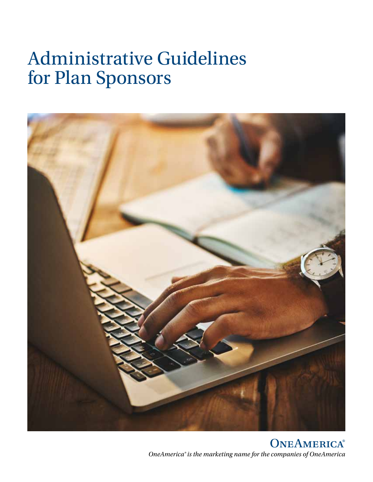# Administrative Guidelines for Plan Sponsors



ONEAMERICA® *OneAmerica® is the marketing name for the companies of OneAmerica*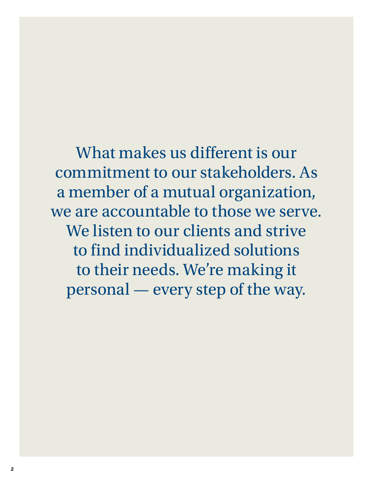What makes us different is our commitment to our stakeholders. As a member of a mutual organization, we are accountable to those we serve. We listen to our clients and strive to find individualized solutions to their needs. We're making it personal — every step of the way.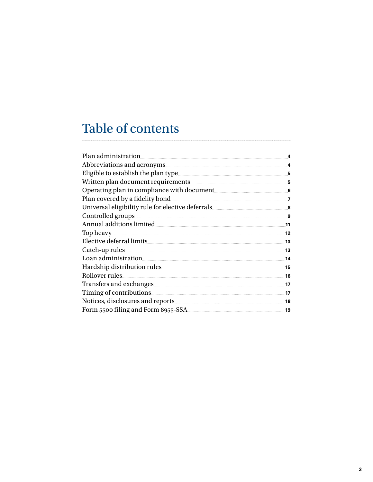# Table of contents

| Eligible to establish the plan type                                                                                                   |     |
|---------------------------------------------------------------------------------------------------------------------------------------|-----|
|                                                                                                                                       |     |
|                                                                                                                                       |     |
| Plan covered by a fidelity bond <u>[</u> [11] Plan covered by a fidelity bond <b>[11]</b> Plan covered by a fidelity bond <b>[11]</b> |     |
|                                                                                                                                       |     |
| Controlled groups                                                                                                                     |     |
| Annual additions limited Annual Basic Communications of the state of the state of the state of the state of the                       | .11 |
| Top heavy                                                                                                                             | .12 |
|                                                                                                                                       | .13 |
| Catch-up rules                                                                                                                        | .13 |
| Loan administration 14                                                                                                                |     |
|                                                                                                                                       |     |
| Rollover rules                                                                                                                        |     |
|                                                                                                                                       |     |
| Timing of contributions 2000 and 2000 and 2000 and 2000 and 2000 and 2000 and 2000 and 2000 and 2000 and 2000 $\mu$                   |     |
|                                                                                                                                       |     |
| Form 5500 filing and Form 8955-SSA                                                                                                    | .19 |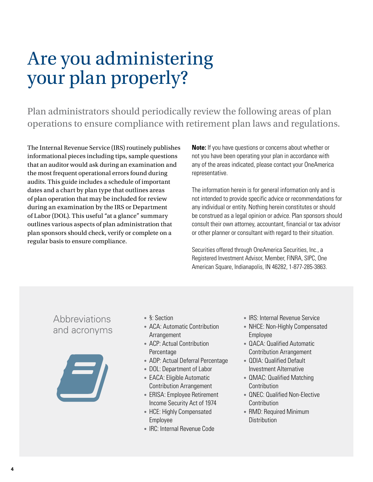# Are you administering your plan properly?

Plan administrators should periodically review the following areas of plan operations to ensure compliance with retirement plan laws and regulations.

The Internal Revenue Service (IRS) routinely publishes informational pieces including tips, sample questions that an auditor would ask during an examination and the most frequent operational errors found during audits. This guide includes a schedule of important dates and a chart by plan type that outlines areas of plan operation that may be included for review during an examination by the IRS or Department of Labor (DOL). This useful "at a glance" summary outlines various aspects of plan administration that plan sponsors should check, verify or complete on a regular basis to ensure compliance.

**Note:** If you have questions or concerns about whether or not you have been operating your plan in accordance with any of the areas indicated, please contact your OneAmerica representative.

The information herein is for general information only and is not intended to provide specific advice or recommendations for any individual or entity. Nothing herein constitutes or should be construed as a legal opinion or advice. Plan sponsors should consult their own attorney, accountant, financial or tax advisor or other planner or consultant with regard to their situation.

Securities offered through OneAmerica Securities, Inc., a Registered Investment Advisor, Member, FINRA, SIPC, One American Square, Indianapolis, IN 46282, 1-877-285-3863.

# Abbreviations and acronyms



- §: Section
- ACA: Automatic Contribution Arrangement
- ACP: Actual Contribution Percentage
- ADP: Actual Deferral Percentage
- DOL: Department of Labor
- EACA: Eligible Automatic Contribution Arrangement
- ERISA: Employee Retirement Income Security Act of 1974
- HCE: Highly Compensated Employee
- IRC: Internal Revenue Code
- IRS: Internal Revenue Service
- NHCE: Non-Highly Compensated Employee
- QACA: Qualified Automatic Contribution Arrangement
- QDIA: Qualified Default Investment Alternative
- QMAC: Qualified Matching **Contribution**
- QNEC: Qualified Non-Elective **Contribution**
- RMD: Required Minimum **Distribution**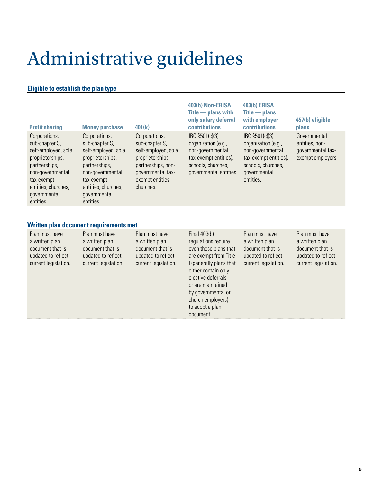# Administrative guidelines

### **Eligible to establish the plan type**

| <b>Profit sharing</b>                                                                                                                                                             | <b>Money purchase</b>                                                                                                                                                             | 401(k)                                                                                                                                                 | 403(b) Non-ERISA<br>$\mathsf{Title}$ - plans with<br>only salary deferral<br><b>contributions</b>                                  | <b>403(b) ERISA</b><br>$\overline{\text{Title}}$ $\overline{\text{This}}$<br>with employer<br>contributions                           | 457(b) eligible<br>plans                                                 |
|-----------------------------------------------------------------------------------------------------------------------------------------------------------------------------------|-----------------------------------------------------------------------------------------------------------------------------------------------------------------------------------|--------------------------------------------------------------------------------------------------------------------------------------------------------|------------------------------------------------------------------------------------------------------------------------------------|---------------------------------------------------------------------------------------------------------------------------------------|--------------------------------------------------------------------------|
| Corporations,<br>sub-chapter S,<br>self-employed, sole<br>proprietorships,<br>partnerships,<br>non-governmental<br>tax-exempt<br>entities, churches,<br>governmental<br>entities. | Corporations,<br>sub-chapter S,<br>self-employed, sole<br>proprietorships,<br>partnerships,<br>non-governmental<br>tax-exempt<br>entities, churches,<br>governmental<br>entities. | Corporations,<br>sub-chapter S,<br>self-employed, sole<br>proprietorships,<br>partnerships, non-<br>governmental tax-<br>exempt entities,<br>churches. | IRC §501(c)(3)<br>organization (e.g.,<br>non-governmental<br>tax-exempt entities),<br>schools, churches,<br>governmental entities. | IRC §501(c)(3)<br>organization (e.g.,<br>non-governmental<br>tax-exempt entities),<br>schools, churches,<br>governmental<br>entities. | Governmental<br>entities, non-<br>governmental tax-<br>exempt employers. |

#### **Written plan document requirements met**

| Plan must have<br>a written plan<br>document that is<br>updated to reflect<br>current legislation. | Plan must have<br>a written plan<br>document that is<br>updated to reflect<br>current legislation. | Plan must have<br>a written plan<br>document that is<br>updated to reflect<br>current legislation. | Final $403(b)$<br>regulations require<br>even those plans that<br>are exempt from Title<br>I (generally plans that<br>either contain only<br>elective deferrals<br>or are maintained<br>by governmental or<br>church employers)<br>to adopt a plan<br>document. | Plan must have<br>a written plan<br>document that is<br>updated to reflect<br>current legislation. | Plan must have<br>a written plan<br>document that is<br>updated to reflect<br>current legislation. |
|----------------------------------------------------------------------------------------------------|----------------------------------------------------------------------------------------------------|----------------------------------------------------------------------------------------------------|-----------------------------------------------------------------------------------------------------------------------------------------------------------------------------------------------------------------------------------------------------------------|----------------------------------------------------------------------------------------------------|----------------------------------------------------------------------------------------------------|
|----------------------------------------------------------------------------------------------------|----------------------------------------------------------------------------------------------------|----------------------------------------------------------------------------------------------------|-----------------------------------------------------------------------------------------------------------------------------------------------------------------------------------------------------------------------------------------------------------------|----------------------------------------------------------------------------------------------------|----------------------------------------------------------------------------------------------------|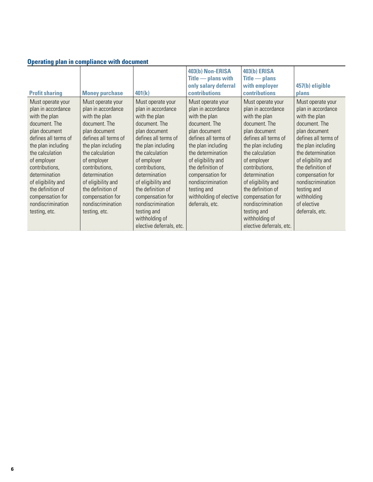|  |  |  | <b>Operating plan in compliance with document</b> |
|--|--|--|---------------------------------------------------|
|  |  |  |                                                   |

| <b>Profit sharing</b>                                                                                                                                                                                                               | <b>Money purchase</b>                                                                                                                                                                                                               | 401(k)                                                                                                                                                                                                                              | 403(b) Non-ERISA<br>$\overline{\text{Title}}$ - plans with<br>only salary deferral<br>contributions                                                                                                                                               | <b>403(b) ERISA</b><br>$\overline{\text{Title}}$ $\overline{\text{This}}$<br>with employer<br><b>contributions</b>                                                                                                                  | 457(b) eligible<br>plans                                                                                                                                                                                                                          |
|-------------------------------------------------------------------------------------------------------------------------------------------------------------------------------------------------------------------------------------|-------------------------------------------------------------------------------------------------------------------------------------------------------------------------------------------------------------------------------------|-------------------------------------------------------------------------------------------------------------------------------------------------------------------------------------------------------------------------------------|---------------------------------------------------------------------------------------------------------------------------------------------------------------------------------------------------------------------------------------------------|-------------------------------------------------------------------------------------------------------------------------------------------------------------------------------------------------------------------------------------|---------------------------------------------------------------------------------------------------------------------------------------------------------------------------------------------------------------------------------------------------|
| Must operate your<br>plan in accordance<br>with the plan<br>document. The<br>plan document<br>defines all terms of<br>the plan including<br>the calculation<br>of employer<br>contributions,<br>determination<br>of eligibility and | Must operate your<br>plan in accordance<br>with the plan<br>document. The<br>plan document<br>defines all terms of<br>the plan including<br>the calculation<br>of employer<br>contributions.<br>determination<br>of eligibility and | Must operate your<br>plan in accordance<br>with the plan<br>document. The<br>plan document<br>defines all terms of<br>the plan including<br>the calculation<br>of employer<br>contributions,<br>determination<br>of eligibility and | Must operate your<br>plan in accordance<br>with the plan<br>document. The<br>plan document<br>defines all terms of<br>the plan including<br>the determination<br>of eligibility and<br>the definition of<br>compensation for<br>nondiscrimination | Must operate your<br>plan in accordance<br>with the plan<br>document. The<br>plan document<br>defines all terms of<br>the plan including<br>the calculation<br>of employer<br>contributions,<br>determination<br>of eligibility and | Must operate your<br>plan in accordance<br>with the plan<br>document. The<br>plan document<br>defines all terms of<br>the plan including<br>the determination<br>of eligibility and<br>the definition of<br>compensation for<br>nondiscrimination |
| the definition of<br>compensation for<br>nondiscrimination<br>testing, etc.                                                                                                                                                         | the definition of<br>compensation for<br>nondiscrimination<br>testing, etc.                                                                                                                                                         | the definition of<br>compensation for<br>nondiscrimination<br>testing and<br>withholding of<br>elective deferrals, etc.                                                                                                             | testing and<br>withholding of elective<br>deferrals, etc.                                                                                                                                                                                         | the definition of<br>compensation for<br>nondiscrimination<br>testing and<br>withholding of<br>elective deferrals, etc.                                                                                                             | testing and<br>withholding<br>of elective<br>deferrals, etc.                                                                                                                                                                                      |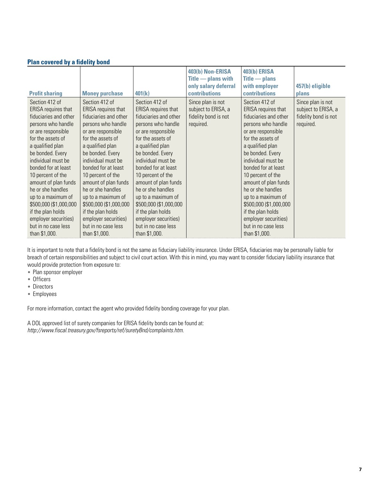| <b>Profit sharing</b>                                                                                                                                                                                                                                                                                                                                                                                                       | <b>Money purchase</b>                                                                                                                                                                                                                                                                                                                                                                                                       | 401(k)                                                                                                                                                                                                                                                                                                                                                                                                                             | 403(b) Non-ERISA<br>$\overline{\text{Title}}$ - plans with<br>only salary deferral<br>contributions | <b>403(b) ERISA</b><br>$\mathsf{Title}$ $\longrightarrow$ plans<br>with employer<br>contributions                                                                                                                                                                                                                                                                                                                                  | 457(b) eligible<br>plans                                                      |
|-----------------------------------------------------------------------------------------------------------------------------------------------------------------------------------------------------------------------------------------------------------------------------------------------------------------------------------------------------------------------------------------------------------------------------|-----------------------------------------------------------------------------------------------------------------------------------------------------------------------------------------------------------------------------------------------------------------------------------------------------------------------------------------------------------------------------------------------------------------------------|------------------------------------------------------------------------------------------------------------------------------------------------------------------------------------------------------------------------------------------------------------------------------------------------------------------------------------------------------------------------------------------------------------------------------------|-----------------------------------------------------------------------------------------------------|------------------------------------------------------------------------------------------------------------------------------------------------------------------------------------------------------------------------------------------------------------------------------------------------------------------------------------------------------------------------------------------------------------------------------------|-------------------------------------------------------------------------------|
| Section 412 of<br>ERISA requires that<br>fiduciaries and other<br>persons who handle<br>or are responsible<br>for the assets of<br>a qualified plan<br>be bonded. Every<br>individual must be<br>bonded for at least<br>10 percent of the<br>amount of plan funds<br>he or she handles<br>up to a maximum of<br>\$500,000 (\$1,000,000<br>if the plan holds<br>employer securities)<br>but in no case less<br>than \$1,000. | Section 412 of<br>ERISA requires that<br>fiduciaries and other<br>persons who handle<br>or are responsible<br>for the assets of<br>a qualified plan<br>be bonded. Every<br>individual must be<br>bonded for at least<br>10 percent of the<br>amount of plan funds<br>he or she handles<br>up to a maximum of<br>\$500,000 (\$1,000,000<br>if the plan holds<br>employer securities)<br>but in no case less<br>than \$1,000. | Section 412 of<br><b>ERISA</b> requires that<br>fiduciaries and other<br>persons who handle<br>or are responsible<br>for the assets of<br>a qualified plan<br>be bonded. Every<br>individual must be<br>bonded for at least<br>10 percent of the<br>amount of plan funds<br>he or she handles<br>up to a maximum of<br>\$500,000 (\$1,000,000<br>if the plan holds<br>employer securities)<br>but in no case less<br>than \$1,000. | Since plan is not<br>subject to ERISA, a<br>fidelity bond is not<br>required.                       | Section 412 of<br><b>ERISA</b> requires that<br>fiduciaries and other<br>persons who handle<br>or are responsible<br>for the assets of<br>a qualified plan<br>be bonded. Every<br>individual must be<br>bonded for at least<br>10 percent of the<br>amount of plan funds<br>he or she handles<br>up to a maximum of<br>\$500,000 (\$1,000,000<br>if the plan holds<br>employer securities)<br>but in no case less<br>than \$1,000. | Since plan is not<br>subject to ERISA, a<br>fidelity bond is not<br>required. |

#### **Plan covered by a fidelity bond**

It is important to note that a fidelity bond is not the same as fiduciary liability insurance. Under ERISA, fiduciaries may be personally liable for breach of certain responsibilities and subject to civil court action. With this in mind, you may want to consider fiduciary liability insurance that would provide protection from exposure to:

- Plan sponsor employer
- Officers
- Directors
- Employees

For more information, contact the agent who provided fidelity bonding coverage for your plan.

A DOL approved list of surety companies for ERISA fidelity bonds can be found at: *http://www.fiscal.treasury.gov/fsreports/ref/suretyBnd/complaints.htm*.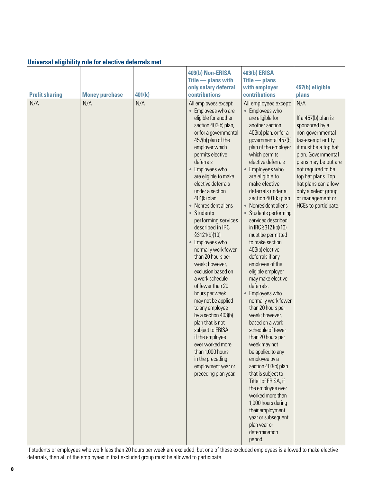#### **Universal eligibility rule for elective deferrals met**

|                       |                       |        | 403(b) Non-ERISA                                                                                                                                                                                                                                                                                                                                                                                                                                                                                                                                                                                                                                                                                                                                                                                                                 | <b>403(b) ERISA</b>                                                                                                                                                                                                                                                                                                                                                                                                                                                                                                                                                                                                                                                                                                                                                                                                                                                                                                                                                                               |                                                                                                                                                                                                                                                                                                     |
|-----------------------|-----------------------|--------|----------------------------------------------------------------------------------------------------------------------------------------------------------------------------------------------------------------------------------------------------------------------------------------------------------------------------------------------------------------------------------------------------------------------------------------------------------------------------------------------------------------------------------------------------------------------------------------------------------------------------------------------------------------------------------------------------------------------------------------------------------------------------------------------------------------------------------|---------------------------------------------------------------------------------------------------------------------------------------------------------------------------------------------------------------------------------------------------------------------------------------------------------------------------------------------------------------------------------------------------------------------------------------------------------------------------------------------------------------------------------------------------------------------------------------------------------------------------------------------------------------------------------------------------------------------------------------------------------------------------------------------------------------------------------------------------------------------------------------------------------------------------------------------------------------------------------------------------|-----------------------------------------------------------------------------------------------------------------------------------------------------------------------------------------------------------------------------------------------------------------------------------------------------|
|                       |                       |        | $\overline{\text{Title}}$ - plans with                                                                                                                                                                                                                                                                                                                                                                                                                                                                                                                                                                                                                                                                                                                                                                                           | $\overline{\text{Title}}$ $\overline{\text{This}}$                                                                                                                                                                                                                                                                                                                                                                                                                                                                                                                                                                                                                                                                                                                                                                                                                                                                                                                                                |                                                                                                                                                                                                                                                                                                     |
|                       |                       |        | only salary deferral                                                                                                                                                                                                                                                                                                                                                                                                                                                                                                                                                                                                                                                                                                                                                                                                             | with employer                                                                                                                                                                                                                                                                                                                                                                                                                                                                                                                                                                                                                                                                                                                                                                                                                                                                                                                                                                                     | 457(b) eligible                                                                                                                                                                                                                                                                                     |
| <b>Profit sharing</b> | <b>Money purchase</b> | 401(k) | contributions                                                                                                                                                                                                                                                                                                                                                                                                                                                                                                                                                                                                                                                                                                                                                                                                                    | contributions                                                                                                                                                                                                                                                                                                                                                                                                                                                                                                                                                                                                                                                                                                                                                                                                                                                                                                                                                                                     | plans                                                                                                                                                                                                                                                                                               |
| N/A                   | N/A                   | N/A    | All employees except:<br>• Employees who are<br>eligible for another<br>section 403(b) plan,<br>or for a governmental<br>457(b) plan of the<br>employer which<br>permits elective<br>deferrals<br>Employees who<br>$\bullet$<br>are eligible to make<br>elective deferrals<br>under a section<br>$401(k)$ plan<br>• Nonresident aliens<br>• Students<br>performing services<br>described in IRC<br>\$3121(b)(10)<br>Employees who<br>$\bullet$<br>normally work fewer<br>than 20 hours per<br>week; however,<br>exclusion based on<br>a work schedule<br>of fewer than 20<br>hours per week<br>may not be applied<br>to any employee<br>by a section 403(b)<br>plan that is not<br>subject to ERISA<br>if the employee<br>ever worked more<br>than 1,000 hours<br>in the preceding<br>employment year or<br>preceding plan year. | All employees except:<br>• Employees who<br>are eligible for<br>another section<br>403(b) plan, or for a<br>governmental 457(b)<br>plan of the employer<br>which permits<br>elective deferrals<br>• Employees who<br>are eligible to<br>make elective<br>deferrals under a<br>section 401(k) plan<br>• Nonresident aliens<br>Students performing<br>services described<br>in IRC §3121(b)(10),<br>must be permitted<br>to make section<br>403(b) elective<br>deferrals if any<br>employee of the<br>eligible employer<br>may make elective<br>deferrals.<br>Employees who<br>$\bullet$<br>normally work fewer<br>than 20 hours per<br>week; however,<br>based on a work<br>schedule of fewer<br>than 20 hours per<br>week may not<br>be applied to any<br>employee by a<br>section 403(b) plan<br>that is subject to<br>Title I of ERISA, if<br>the employee ever<br>worked more than<br>1,000 hours during<br>their employment<br>year or subsequent<br>plan year or<br>determination<br>period. | N/A<br>If a $457(b)$ plan is<br>sponsored by a<br>non-governmental<br>tax-exempt entity<br>it must be a top hat<br>plan. Governmental<br>plans may be but are<br>not required to be<br>top hat plans. Top<br>hat plans can allow<br>only a select group<br>of management or<br>HCEs to participate. |

If students or employees who work less than 20 hours per week are excluded, but one of these excluded employees is allowed to make elective deferrals, then all of the employees in that excluded group must be allowed to participate.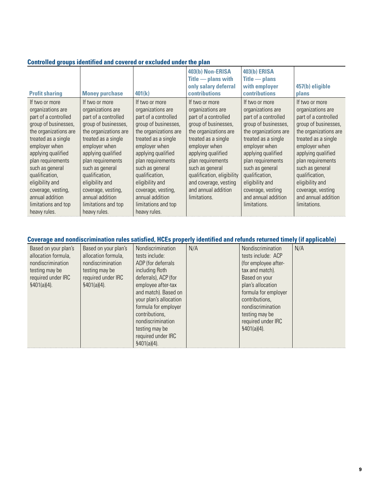|  | Controlled groups identified and covered or excluded under the plan |  |  |  |
|--|---------------------------------------------------------------------|--|--|--|
|--|---------------------------------------------------------------------|--|--|--|

| <b>Profit sharing</b>                                                                                                                                                                                                                                                                                                                   | <b>Money purchase</b>                                                                                                                                                                                                                                                                                                                   | 401(k)                                                                                                                                                                                                                                                                                                                                  | 403(b) Non-ERISA<br>$\overline{\text{Title}}$ - plans with<br>only salary deferral<br><b>contributions</b>                                                                                                                                                                                                       | <b>403(b) ERISA</b><br>$\overline{\text{Title}}$ $\overline{\text{This}}$<br>with employer<br><b>contributions</b>                                                                                                                                                                                                  | 457(b) eligible<br>plans                                                                                                                                                                                                                                                                                            |
|-----------------------------------------------------------------------------------------------------------------------------------------------------------------------------------------------------------------------------------------------------------------------------------------------------------------------------------------|-----------------------------------------------------------------------------------------------------------------------------------------------------------------------------------------------------------------------------------------------------------------------------------------------------------------------------------------|-----------------------------------------------------------------------------------------------------------------------------------------------------------------------------------------------------------------------------------------------------------------------------------------------------------------------------------------|------------------------------------------------------------------------------------------------------------------------------------------------------------------------------------------------------------------------------------------------------------------------------------------------------------------|---------------------------------------------------------------------------------------------------------------------------------------------------------------------------------------------------------------------------------------------------------------------------------------------------------------------|---------------------------------------------------------------------------------------------------------------------------------------------------------------------------------------------------------------------------------------------------------------------------------------------------------------------|
| If two or more<br>organizations are<br>part of a controlled<br>group of businesses,<br>the organizations are<br>treated as a single<br>employer when<br>applying qualified<br>plan requirements<br>such as general<br>qualification,<br>eligibility and<br>coverage, vesting,<br>annual addition<br>limitations and top<br>heavy rules. | If two or more<br>organizations are<br>part of a controlled<br>group of businesses,<br>the organizations are<br>treated as a single<br>employer when<br>applying qualified<br>plan requirements<br>such as general<br>qualification,<br>eligibility and<br>coverage, vesting,<br>annual addition<br>limitations and top<br>heavy rules. | If two or more<br>organizations are<br>part of a controlled<br>group of businesses,<br>the organizations are<br>treated as a single<br>employer when<br>applying qualified<br>plan requirements<br>such as general<br>qualification,<br>eligibility and<br>coverage, vesting,<br>annual addition<br>limitations and top<br>heavy rules. | If two or more<br>organizations are<br>part of a controlled<br>group of businesses,<br>the organizations are<br>treated as a single<br>employer when<br>applying qualified<br>plan requirements<br>such as general<br>qualification, eligibility<br>and coverage, vesting<br>and annual addition<br>limitations. | If two or more<br>organizations are<br>part of a controlled<br>group of businesses,<br>the organizations are<br>treated as a single<br>employer when<br>applying qualified<br>plan requirements<br>such as general<br>qualification,<br>eligibility and<br>coverage, vesting<br>and annual addition<br>limitations. | If two or more<br>organizations are<br>part of a controlled<br>group of businesses,<br>the organizations are<br>treated as a single<br>employer when<br>applying qualified<br>plan requirements<br>such as general<br>qualification,<br>eligibility and<br>coverage, vesting<br>and annual addition<br>limitations. |

## **Coverage and nondiscrimination rules satisfied, HCEs properly identified and refunds returned timely (if applicable)**

| Based on your plan's<br>allocation formula,<br>nondiscrimination<br>testing may be<br>required under IRC<br>\$401(a)(4). | Based on your plan's<br>allocation formula,<br>nondiscrimination<br>testing may be<br>required under IRC<br>\$401(a)(4). | Nondiscrimination<br>tests include:<br>ADP (for deferrals<br>including Roth<br>deferrals), ACP (for<br>employee after-tax<br>and match). Based on<br>your plan's allocation<br>formula for employer<br>contributions,<br>nondiscrimination<br>testing may be<br>required under IRC<br>\$401(a)(4). | N/A | Nondiscrimination<br>tests include: ACP<br>(for employee after-<br>tax and match).<br>Based on your<br>plan's allocation<br>formula for employer<br>contributions,<br>nondiscrimination<br>testing may be<br>required under IRC<br>\$401(a)(4). | N/A |
|--------------------------------------------------------------------------------------------------------------------------|--------------------------------------------------------------------------------------------------------------------------|----------------------------------------------------------------------------------------------------------------------------------------------------------------------------------------------------------------------------------------------------------------------------------------------------|-----|-------------------------------------------------------------------------------------------------------------------------------------------------------------------------------------------------------------------------------------------------|-----|
|--------------------------------------------------------------------------------------------------------------------------|--------------------------------------------------------------------------------------------------------------------------|----------------------------------------------------------------------------------------------------------------------------------------------------------------------------------------------------------------------------------------------------------------------------------------------------|-----|-------------------------------------------------------------------------------------------------------------------------------------------------------------------------------------------------------------------------------------------------|-----|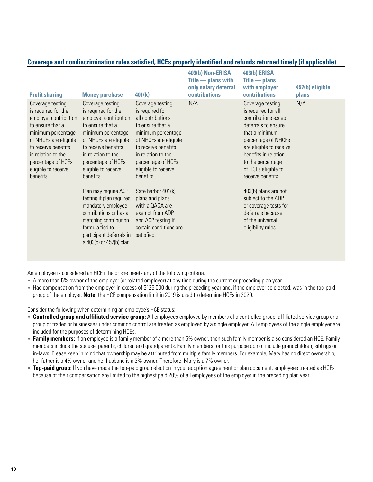| <b>Profit sharing</b>                                                                                                                                                                                                                      | <b>Money purchase</b>                                                                                                                                                                                                                                                                                                                                                                                                                              | 401(k)                                                                                                                                                                                                                                                                                                                                                                          | 403(b) Non-ERISA<br>$\overline{\text{Title}}$ - plans with<br>only salary deferral<br><b>contributions</b> | <b>403(b) ERISA</b><br>$\overline{\text{Title}}$ $\overline{\text{This}}$<br>with employer<br>contributions                                                                                                                                                                                                                                                                               | 457(b) eligible<br>plans |
|--------------------------------------------------------------------------------------------------------------------------------------------------------------------------------------------------------------------------------------------|----------------------------------------------------------------------------------------------------------------------------------------------------------------------------------------------------------------------------------------------------------------------------------------------------------------------------------------------------------------------------------------------------------------------------------------------------|---------------------------------------------------------------------------------------------------------------------------------------------------------------------------------------------------------------------------------------------------------------------------------------------------------------------------------------------------------------------------------|------------------------------------------------------------------------------------------------------------|-------------------------------------------------------------------------------------------------------------------------------------------------------------------------------------------------------------------------------------------------------------------------------------------------------------------------------------------------------------------------------------------|--------------------------|
| Coverage testing<br>is required for the<br>employer contribution<br>to ensure that a<br>minimum percentage<br>of NHCEs are eligible<br>to receive benefits<br>in relation to the<br>percentage of HCEs<br>eligible to receive<br>benefits. | Coverage testing<br>is required for the<br>employer contribution<br>to ensure that a<br>minimum percentage<br>of NHCEs are eligible<br>to receive benefits<br>in relation to the<br>percentage of HCEs<br>eligible to receive<br>benefits.<br>Plan may require ACP<br>testing if plan requires<br>mandatory employee<br>contributions or has a<br>matching contribution<br>formula tied to<br>participant deferrals in<br>a 403(b) or 457(b) plan. | Coverage testing<br>is required for<br>all contributions<br>to ensure that a<br>minimum percentage<br>of NHCEs are eligible<br>to receive benefits<br>in relation to the<br>percentage of HCEs<br>eligible to receive<br>benefits.<br>Safe harbor 401(k)<br>plans and plans<br>with a QACA are<br>exempt from ADP<br>and ACP testing if<br>certain conditions are<br>satisfied. | N/A                                                                                                        | Coverage testing<br>is required for all<br>contributions except<br>deferrals to ensure<br>that a minimum<br>percentage of NHCEs<br>are eligible to receive<br>benefits in relation<br>to the percentage<br>of HCEs eligible to<br>receive benefits.<br>403(b) plans are not<br>subject to the ADP<br>or coverage tests for<br>deferrals because<br>of the universal<br>eligibility rules. | N/A                      |

#### **Coverage and nondiscrimination rules satisfied, HCEs properly identified and refunds returned timely (if applicable)**

An employee is considered an HCE if he or she meets any of the following criteria:

- A more than 5% owner of the employer (or related employer) at any time during the current or preceding plan year.
- Had compensation from the employer in excess of \$125,000 during the preceding year and, if the employer so elected, was in the top-paid group of the employer. **Note:** the HCE compensation limit in 2019 is used to determine HCEs in 2020.

Consider the following when determining an employee's HCE status:

- **Controlled group and affiliated service group:** All employees employed by members of a controlled group, affiliated service group or a group of trades or businesses under common control are treated as employed by a single employer. All employees of the single employer are included for the purposes of determining HCEs.
- **Family members:** If an employee is a family member of a more than 5% owner, then such family member is also considered an HCE. Family members include the spouse, parents, children and grandparents. Family members for this purpose do not include grandchildren, siblings or in-laws. Please keep in mind that ownership may be attributed from multiple family members. For example, Mary has no direct ownership, her father is a 4% owner and her husband is a 3% owner. Therefore, Mary is a 7% owner.
- **Top-paid group:** If you have made the top-paid group election in your adoption agreement or plan document, employees treated as HCEs because of their compensation are limited to the highest paid 20% of all employees of the employer in the preceding plan year.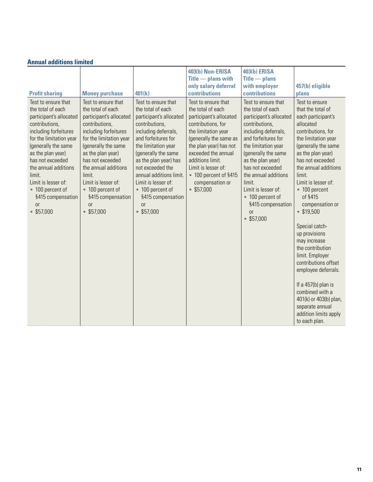|                                                                                                                                                                                                                                                                                                                               |                                                                                                                                                                                                                                                                                                                                          |                                                                                                                                                                                                                                                                                                                                                     | 403(b) Non-ERISA                                                                                                                                                                                                                                                                               | <b>403(b) ERISA</b>                                                                                                                                                                                                                                                                                                                                    |                                                                                                                                                                                                                                                                                                                                                                                                                                                                                                                                                                                     |
|-------------------------------------------------------------------------------------------------------------------------------------------------------------------------------------------------------------------------------------------------------------------------------------------------------------------------------|------------------------------------------------------------------------------------------------------------------------------------------------------------------------------------------------------------------------------------------------------------------------------------------------------------------------------------------|-----------------------------------------------------------------------------------------------------------------------------------------------------------------------------------------------------------------------------------------------------------------------------------------------------------------------------------------------------|------------------------------------------------------------------------------------------------------------------------------------------------------------------------------------------------------------------------------------------------------------------------------------------------|--------------------------------------------------------------------------------------------------------------------------------------------------------------------------------------------------------------------------------------------------------------------------------------------------------------------------------------------------------|-------------------------------------------------------------------------------------------------------------------------------------------------------------------------------------------------------------------------------------------------------------------------------------------------------------------------------------------------------------------------------------------------------------------------------------------------------------------------------------------------------------------------------------------------------------------------------------|
|                                                                                                                                                                                                                                                                                                                               |                                                                                                                                                                                                                                                                                                                                          |                                                                                                                                                                                                                                                                                                                                                     | $\overline{\text{Title}}$ - plans with                                                                                                                                                                                                                                                         | $\overline{\text{Title}}$ $\overline{\text{This}}$                                                                                                                                                                                                                                                                                                     |                                                                                                                                                                                                                                                                                                                                                                                                                                                                                                                                                                                     |
|                                                                                                                                                                                                                                                                                                                               |                                                                                                                                                                                                                                                                                                                                          |                                                                                                                                                                                                                                                                                                                                                     | only salary deferral                                                                                                                                                                                                                                                                           | with employer                                                                                                                                                                                                                                                                                                                                          | 457(b) eligible                                                                                                                                                                                                                                                                                                                                                                                                                                                                                                                                                                     |
| <b>Profit sharing</b>                                                                                                                                                                                                                                                                                                         | <b>Money purchase</b>                                                                                                                                                                                                                                                                                                                    | 401(k)                                                                                                                                                                                                                                                                                                                                              | contributions                                                                                                                                                                                                                                                                                  | contributions                                                                                                                                                                                                                                                                                                                                          | plans                                                                                                                                                                                                                                                                                                                                                                                                                                                                                                                                                                               |
| Test to ensure that<br>the total of each<br>participant's allocated<br>contributions,<br>including forfeitures<br>for the limitation year<br>(generally the same<br>as the plan year)<br>has not exceeded<br>the annual additions<br>limit.<br>Limit is lesser of:<br>• 100 percent of<br>§415 compensation<br>or<br>\$57,000 | Test to ensure that<br>the total of each<br>participant's allocated<br>contributions,<br>including forfeitures<br>for the limitation year<br>(generally the same<br>as the plan year)<br>has not exceeded<br>the annual additions<br>limit.<br>Limit is lesser of:<br>• 100 percent of<br>§415 compensation<br><sub>0r</sub><br>\$57,000 | Test to ensure that<br>the total of each<br>participant's allocated<br>contributions,<br>including deferrals,<br>and forfeitures for<br>the limitation year<br>(generally the same<br>as the plan year) has<br>not exceeded the<br>annual additions limit.<br>Limit is lesser of:<br>• 100 percent of<br>§415 compensation<br><b>or</b><br>\$57,000 | Test to ensure that<br>the total of each<br>participant's allocated<br>contributions, for<br>the limitation year<br>(generally the same as<br>the plan year) has not<br>exceeded the annual<br>additions limit.<br>Limit is lesser of:<br>• 100 percent of §415<br>compensation or<br>\$57,000 | Test to ensure that<br>the total of each<br>participant's allocated<br>contributions,<br>including deferrals,<br>and forfeitures for<br>the limitation year<br>(generally the same<br>as the plan year)<br>has not exceeded<br>the annual additions<br>limit.<br>Limit is lesser of:<br>• 100 percent of<br>§415 compensation<br><b>or</b><br>\$57,000 | Test to ensure<br>that the total of<br>each participant's<br>allocated<br>contributions, for<br>the limitation year<br>(generally the same<br>as the plan year)<br>has not exceeded<br>the annual additions<br>limit.<br>Limit is lesser of:<br>• 100 percent<br>of §415<br>compensation or<br>\$19,500<br>Special catch-<br>up provisions<br>may increase<br>the contribution<br>limit. Employer<br>contributions offset<br>employee deferrals.<br>If a $457(b)$ plan is<br>combined with a<br>401(k) or 403(b) plan,<br>separate annual<br>addition limits apply<br>to each plan. |

### **Annual additions limited**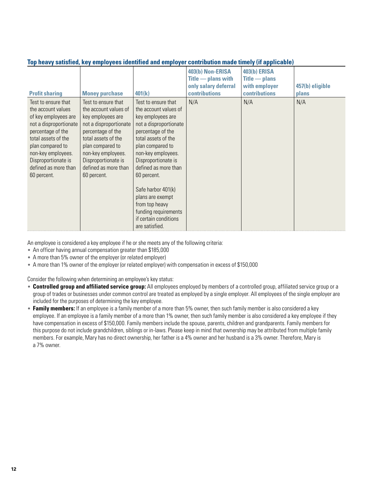| Top heavy sausinea, Key employees fachumed and employer continuum made unicry (if applicable)                                                                                                                                                   |                                                                                                                                                                                                                                                 |                                                                                                                                                                                                                                                                                                                                                                                |                                                                                                            |                                                                                                                    |                          |
|-------------------------------------------------------------------------------------------------------------------------------------------------------------------------------------------------------------------------------------------------|-------------------------------------------------------------------------------------------------------------------------------------------------------------------------------------------------------------------------------------------------|--------------------------------------------------------------------------------------------------------------------------------------------------------------------------------------------------------------------------------------------------------------------------------------------------------------------------------------------------------------------------------|------------------------------------------------------------------------------------------------------------|--------------------------------------------------------------------------------------------------------------------|--------------------------|
| <b>Profit sharing</b>                                                                                                                                                                                                                           | <b>Money purchase</b>                                                                                                                                                                                                                           | 401(k)                                                                                                                                                                                                                                                                                                                                                                         | 403(b) Non-ERISA<br>$\overline{\text{Title}}$ - plans with<br>only salary deferral<br><b>contributions</b> | <b>403(b) ERISA</b><br>$\overline{\text{Title}}$ $\overline{\text{This}}$<br>with employer<br><b>contributions</b> | 457(b) eligible<br>plans |
| Test to ensure that<br>the account values<br>of key employees are<br>not a disproportionate<br>percentage of the<br>total assets of the<br>plan compared to<br>non-key employees.<br>Disproportionate is<br>defined as more than<br>60 percent. | Test to ensure that<br>the account values of<br>key employees are<br>not a disproportionate<br>percentage of the<br>total assets of the<br>plan compared to<br>non-key employees.<br>Disproportionate is<br>defined as more than<br>60 percent. | Test to ensure that<br>the account values of<br>key employees are<br>not a disproportionate<br>percentage of the<br>total assets of the<br>plan compared to<br>non-key employees.<br>Disproportionate is<br>defined as more than<br>60 percent.<br>Safe harbor 401(k)<br>plans are exempt<br>from top heavy<br>funding requirements<br>if certain conditions<br>are satisfied. | N/A                                                                                                        | N/A                                                                                                                | N/A                      |

#### **Top heavy satisfied, key employees identified and employer contribution made timely (if applicable)**

An employee is considered a key employee if he or she meets any of the following criteria:

- An officer having annual compensation greater than \$185,000
- A more than 5% owner of the employer (or related employer)
- A more than 1% owner of the employer (or related employer) with compensation in excess of \$150,000

Consider the following when determining an employee's key status:

- **Controlled group and affiliated service group:** All employees employed by members of a controlled group, affiliated service group or a group of trades or businesses under common control are treated as employed by a single employer. All employees of the single employer are included for the purposes of determining the key employee.
- **Family members:** If an employee is a family member of a more than 5% owner, then such family member is also considered a key employee. If an employee is a family member of a more than 1% owner, then such family member is also considered a key employee if they have compensation in excess of \$150,000. Family members include the spouse, parents, children and grandparents. Family members for this purpose do not include grandchildren, siblings or in-laws. Please keep in mind that ownership may be attributed from multiple family members. For example, Mary has no direct ownership, her father is a 4% owner and her husband is a 3% owner. Therefore, Mary is a 7% owner.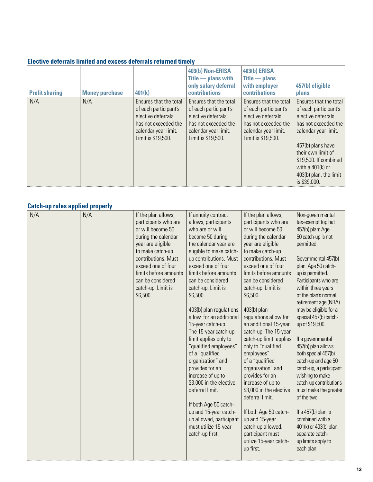|  |  | <b>Elective deferrals limited and excess deferrals returned timely</b> |
|--|--|------------------------------------------------------------------------|
|--|--|------------------------------------------------------------------------|

| <b>Profit sharing</b> | <b>Money purchase</b> | 401(k)                                                                                                                                      | 403(b) Non-ERISA<br>$\overline{\text{Title}}$ - plans with<br>only salary deferral<br><b>contributions</b>                                  | 403(b) ERISA<br>$\overline{\text{Title}}$ - plans<br>with employer<br><b>contributions</b>                                                  | 457(b) eligible<br>plans                                                                                                                                                                                                                                  |
|-----------------------|-----------------------|---------------------------------------------------------------------------------------------------------------------------------------------|---------------------------------------------------------------------------------------------------------------------------------------------|---------------------------------------------------------------------------------------------------------------------------------------------|-----------------------------------------------------------------------------------------------------------------------------------------------------------------------------------------------------------------------------------------------------------|
| N/A                   | N/A                   | Ensures that the total<br>of each participant's<br>elective deferrals<br>has not exceeded the<br>calendar year limit.<br>Limit is \$19,500. | Ensures that the total<br>of each participant's<br>elective deferrals<br>has not exceeded the<br>calendar year limit.<br>Limit is \$19,500. | Ensures that the total<br>of each participant's<br>elective deferrals<br>has not exceeded the<br>calendar year limit.<br>Limit is \$19,500. | Ensures that the total<br>of each participant's<br>elective deferrals<br>has not exceeded the<br>calendar year limit.<br>457(b) plans have<br>their own limit of<br>\$19,500. If combined<br>with a $401(k)$ or<br>403(b) plan, the limit<br>is \$39,000. |

#### **Catch-up rules applied properly**

| outon up ruroo uppnou propon |     |                                                                                                                                                                                                                                                               |                                                                                                                                                                                                                                                                                                                                                                                                                                                                                                                                                                                                                                                                                   |                                                                                                                                                                                                                                                                                                                                                                                                                                                                                                                                                                                                                                                                                |                                                                                                                                                                                                                                                                                                                                                                                                                                                                                                                                                                                                                                                                         |
|------------------------------|-----|---------------------------------------------------------------------------------------------------------------------------------------------------------------------------------------------------------------------------------------------------------------|-----------------------------------------------------------------------------------------------------------------------------------------------------------------------------------------------------------------------------------------------------------------------------------------------------------------------------------------------------------------------------------------------------------------------------------------------------------------------------------------------------------------------------------------------------------------------------------------------------------------------------------------------------------------------------------|--------------------------------------------------------------------------------------------------------------------------------------------------------------------------------------------------------------------------------------------------------------------------------------------------------------------------------------------------------------------------------------------------------------------------------------------------------------------------------------------------------------------------------------------------------------------------------------------------------------------------------------------------------------------------------|-------------------------------------------------------------------------------------------------------------------------------------------------------------------------------------------------------------------------------------------------------------------------------------------------------------------------------------------------------------------------------------------------------------------------------------------------------------------------------------------------------------------------------------------------------------------------------------------------------------------------------------------------------------------------|
| N/A                          | N/A | If the plan allows,<br>participants who are<br>or will become 50<br>during the calendar<br>year are eligible<br>to make catch-up<br>contributions. Must<br>exceed one of four<br>limits before amounts<br>can be considered<br>catch-up. Limit is<br>\$6,500. | If annuity contract<br>allows, participants<br>who are or will<br>become 50 during<br>the calendar year are<br>eligible to make catch-<br>up contributions. Must<br>exceed one of four<br>limits before amounts<br>can be considered<br>catch-up. Limit is<br>\$6,500.<br>403(b) plan regulations<br>allow for an additional<br>15-year catch-up.<br>The 15-year catch-up<br>limit applies only to<br>"qualified employees"<br>of a "qualified<br>organization" and<br>provides for an<br>increase of up to<br>\$3,000 in the elective<br>deferral limit.<br>If both Age 50 catch-<br>up and 15-year catch-<br>up allowed, participant<br>must utilize 15-year<br>catch-up first. | If the plan allows,<br>participants who are<br>or will become 50<br>during the calendar<br>year are eligible<br>to make catch-up<br>contributions. Must<br>exceed one of four<br>limits before amounts<br>can be considered<br>catch-up. Limit is<br>\$6,500.<br>403(b) plan<br>regulations allow for<br>an additional 15-year<br>catch-up. The 15-year<br>catch-up limit applies<br>only to "qualified<br>employees"<br>of a "qualified<br>organization" and<br>provides for an<br>increase of up to<br>\$3,000 in the elective<br>deferral limit.<br>If both Age 50 catch-<br>up and 15-year<br>catch-up allowed,<br>participant must<br>utilize 15-year catch-<br>up first. | Non-governmental<br>tax-exempt top hat<br>457(b) plan: Age<br>50 catch-up is not<br>permitted.<br>Governmental 457(b)<br>plan: Age 50 catch-<br>up is permitted.<br>Participants who are<br>within three years<br>of the plan's normal<br>retirement age (NRA)<br>may be eligible for a<br>special 457(b) catch-<br>up of \$19,500.<br>If a governmental<br>457(b) plan allows<br>both special 457(b)<br>catch-up and age 50<br>catch-up, a participant<br>wishing to make<br>catch-up contributions<br>must make the greater<br>of the two.<br>If a 457(b) plan is<br>combined with a<br>401(k) or 403(b) plan,<br>separate catch-<br>up limits apply to<br>each plan. |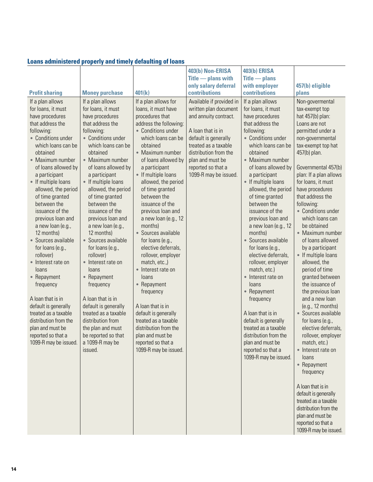| Loans administered properly and timely defaulting of loans |
|------------------------------------------------------------|
|------------------------------------------------------------|

|                                                                                                                                                                                                                                                                                                                                                                                                                                                                                                                                                                                                                                                                |                                                                                                                                                                                                                                                                                                                                                                                                                                                                                                                                                                                                                                                                   |                                                                                                                                                                                                                                                                                                                                                                                                                                                                                                                                                                                                                                                                                                              | 403(b) Non-ERISA                                                                                                                                                                                                                            | <b>403(b) ERISA</b>                                                                                                                                                                                                                                                                                                                                                                                                                                                                                                                                                                                                                                                                                                       |                                                                                                                                                                                                                                                                                                                                                                                                                                                                                                                                                                                                                                                                                                                                                                                                                                                                                                      |
|----------------------------------------------------------------------------------------------------------------------------------------------------------------------------------------------------------------------------------------------------------------------------------------------------------------------------------------------------------------------------------------------------------------------------------------------------------------------------------------------------------------------------------------------------------------------------------------------------------------------------------------------------------------|-------------------------------------------------------------------------------------------------------------------------------------------------------------------------------------------------------------------------------------------------------------------------------------------------------------------------------------------------------------------------------------------------------------------------------------------------------------------------------------------------------------------------------------------------------------------------------------------------------------------------------------------------------------------|--------------------------------------------------------------------------------------------------------------------------------------------------------------------------------------------------------------------------------------------------------------------------------------------------------------------------------------------------------------------------------------------------------------------------------------------------------------------------------------------------------------------------------------------------------------------------------------------------------------------------------------------------------------------------------------------------------------|---------------------------------------------------------------------------------------------------------------------------------------------------------------------------------------------------------------------------------------------|---------------------------------------------------------------------------------------------------------------------------------------------------------------------------------------------------------------------------------------------------------------------------------------------------------------------------------------------------------------------------------------------------------------------------------------------------------------------------------------------------------------------------------------------------------------------------------------------------------------------------------------------------------------------------------------------------------------------------|------------------------------------------------------------------------------------------------------------------------------------------------------------------------------------------------------------------------------------------------------------------------------------------------------------------------------------------------------------------------------------------------------------------------------------------------------------------------------------------------------------------------------------------------------------------------------------------------------------------------------------------------------------------------------------------------------------------------------------------------------------------------------------------------------------------------------------------------------------------------------------------------------|
|                                                                                                                                                                                                                                                                                                                                                                                                                                                                                                                                                                                                                                                                |                                                                                                                                                                                                                                                                                                                                                                                                                                                                                                                                                                                                                                                                   |                                                                                                                                                                                                                                                                                                                                                                                                                                                                                                                                                                                                                                                                                                              | $\overline{\text{Title}}$ - plans with                                                                                                                                                                                                      | $Title$ $-$ plans                                                                                                                                                                                                                                                                                                                                                                                                                                                                                                                                                                                                                                                                                                         |                                                                                                                                                                                                                                                                                                                                                                                                                                                                                                                                                                                                                                                                                                                                                                                                                                                                                                      |
|                                                                                                                                                                                                                                                                                                                                                                                                                                                                                                                                                                                                                                                                |                                                                                                                                                                                                                                                                                                                                                                                                                                                                                                                                                                                                                                                                   |                                                                                                                                                                                                                                                                                                                                                                                                                                                                                                                                                                                                                                                                                                              | only salary deferral                                                                                                                                                                                                                        | with employer                                                                                                                                                                                                                                                                                                                                                                                                                                                                                                                                                                                                                                                                                                             | 457(b) eligible                                                                                                                                                                                                                                                                                                                                                                                                                                                                                                                                                                                                                                                                                                                                                                                                                                                                                      |
| <b>Profit sharing</b>                                                                                                                                                                                                                                                                                                                                                                                                                                                                                                                                                                                                                                          | <b>Money purchase</b>                                                                                                                                                                                                                                                                                                                                                                                                                                                                                                                                                                                                                                             | 401(k)                                                                                                                                                                                                                                                                                                                                                                                                                                                                                                                                                                                                                                                                                                       | contributions                                                                                                                                                                                                                               | contributions                                                                                                                                                                                                                                                                                                                                                                                                                                                                                                                                                                                                                                                                                                             | plans                                                                                                                                                                                                                                                                                                                                                                                                                                                                                                                                                                                                                                                                                                                                                                                                                                                                                                |
| If a plan allows<br>for loans, it must<br>have procedures<br>that address the<br>following:<br>• Conditions under<br>which loans can be<br>obtained<br>• Maximum number<br>of loans allowed by<br>a participant<br>• If multiple loans<br>allowed, the period<br>of time granted<br>between the<br>issuance of the<br>previous loan and<br>a new loan (e.g.,<br>12 months)<br>• Sources available<br>for loans (e.g.,<br>rollover)<br>• Interest rate on<br>loans<br>• Repayment<br>frequency<br>A loan that is in<br>default is generally<br>treated as a taxable<br>distribution from the<br>plan and must be<br>reported so that a<br>1099-R may be issued. | If a plan allows<br>for loans, it must<br>have procedures<br>that address the<br>following:<br>• Conditions under<br>which loans can be<br>obtained<br>• Maximum number<br>of loans allowed by<br>a participant<br>• If multiple loans<br>allowed, the period<br>of time granted<br>between the<br>issuance of the<br>previous loan and<br>a new loan (e.g.,<br>12 months)<br>• Sources available<br>for loans (e.g.,<br>rollover)<br>• Interest rate on<br>loans<br>• Repayment<br>frequency<br>A loan that is in<br>default is generally<br>treated as a taxable<br>distribution from<br>the plan and must<br>be reported so that<br>a 1099-R may be<br>issued. | If a plan allows for<br>loans, it must have<br>procedures that<br>address the following:<br>• Conditions under<br>which loans can be<br>obtained<br>• Maximum number<br>of loans allowed by<br>a participant<br>• If multiple loans<br>allowed, the period<br>of time granted<br>between the<br>issuance of the<br>previous loan and<br>a new loan (e.g., 12<br>months)<br>• Sources available<br>for loans (e.g.,<br>elective deferrals,<br>rollover, employer<br>match, etc.,)<br>• Interest rate on<br>loans<br>• Repayment<br>frequency<br>A loan that is in<br>default is generally<br>treated as a taxable<br>distribution from the<br>plan and must be<br>reported so that a<br>1099-R may be issued. | Available if provided in<br>written plan document<br>and annuity contract.<br>A loan that is in<br>default is generally<br>treated as a taxable<br>distribution from the<br>plan and must be<br>reported so that a<br>1099-R may be issued. | If a plan allows<br>for loans, it must<br>have procedures<br>that address the<br>following:<br>• Conditions under<br>which loans can be<br>obtained<br>• Maximum number<br>of loans allowed by<br>a participant<br>• If multiple loans<br>allowed, the period<br>of time granted<br>between the<br>issuance of the<br>previous loan and<br>a new loan (e.g., 12<br>months)<br>• Sources available<br>for loans (e.g.,<br>elective deferrals,<br>rollover, employer<br>match, etc.)<br>Interest rate on<br>$\bullet$<br>loans<br>• Repayment<br>frequency<br>A loan that is in<br>default is generally<br>treated as a taxable<br>distribution from the<br>plan and must be<br>reported so that a<br>1099-R may be issued. | Non-govermental<br>tax-exempt top<br>hat 457(b) plan:<br>Loans are not<br>permitted under a<br>non-governmental<br>tax-exempt top hat<br>457(b) plan.<br>Governmental 457(b)<br>plan: If a plan allows<br>for loans, it must<br>have procedures<br>that address the<br>following:<br>• Conditions under<br>which loans can<br>be obtained<br>• Maximum number<br>of loans allowed<br>by a participant<br>• If multiple loans<br>allowed, the<br>period of time<br>granted between<br>the issuance of<br>the previous loan<br>and a new loan<br>(e.g., 12 months)<br>• Sources available<br>for loans (e.g.,<br>elective deferrals,<br>rollover, employer<br>match, etc.)<br>• Interest rate on<br>loans<br>• Repayment<br>frequency<br>A loan that is in<br>default is generally<br>treated as a taxable<br>distribution from the<br>plan and must be<br>reported so that a<br>1099-R may be issued. |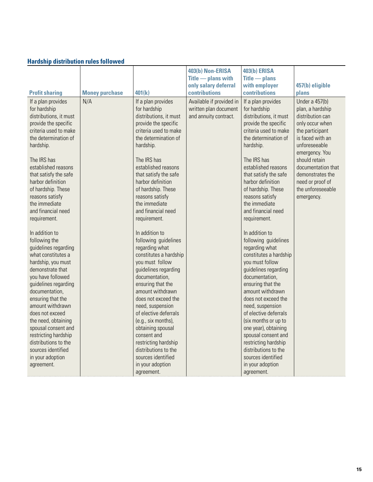| <b>Hardship distribution rules followed</b> |  |
|---------------------------------------------|--|
|                                             |  |

|                        |                       |                        | 403(b) Non-ERISA                       | <b>403(b) ERISA</b>                                |                    |
|------------------------|-----------------------|------------------------|----------------------------------------|----------------------------------------------------|--------------------|
|                        |                       |                        | $\overline{\text{Title}}$ - plans with | $\overline{\text{Title}}$ $\overline{\text{This}}$ |                    |
|                        |                       |                        | only salary deferral                   | with employer                                      | 457(b) eligible    |
| <b>Profit sharing</b>  | <b>Money purchase</b> | 401(k)                 | <b>contributions</b>                   | <b>contributions</b>                               | plans              |
| If a plan provides     | N/A                   | If a plan provides     | Available if provided in               | If a plan provides                                 | Under a 457(b)     |
| for hardship           |                       | for hardship           | written plan document                  | for hardship                                       | plan, a hardship   |
| distributions, it must |                       | distributions, it must | and annuity contract.                  | distributions, it must                             | distribution can   |
| provide the specific   |                       | provide the specific   |                                        | provide the specific                               | only occur when    |
| criteria used to make  |                       | criteria used to make  |                                        | criteria used to make                              | the participant    |
| the determination of   |                       | the determination of   |                                        | the determination of                               | is faced with an   |
| hardship.              |                       | hardship.              |                                        | hardship.                                          | unforeseeable      |
|                        |                       |                        |                                        |                                                    | emergency. You     |
| The IRS has            |                       | The IRS has            |                                        | The IRS has                                        | should retain      |
| established reasons    |                       | established reasons    |                                        | established reasons                                | documentation that |
| that satisfy the safe  |                       | that satisfy the safe  |                                        | that satisfy the safe                              | demonstrates the   |
| harbor definition      |                       | harbor definition      |                                        | harbor definition                                  | need or proof of   |
| of hardship. These     |                       | of hardship. These     |                                        | of hardship. These                                 | the unforeseeable  |
| reasons satisfy        |                       | reasons satisfy        |                                        | reasons satisfy                                    | emergency.         |
| the immediate          |                       | the immediate          |                                        | the immediate                                      |                    |
| and financial need     |                       | and financial need     |                                        | and financial need                                 |                    |
| requirement.           |                       | requirement.           |                                        | requirement.                                       |                    |
| In addition to         |                       | In addition to         |                                        | In addition to                                     |                    |
| following the          |                       | following guidelines   |                                        | following guidelines                               |                    |
| guidelines regarding   |                       | regarding what         |                                        | regarding what                                     |                    |
| what constitutes a     |                       | constitutes a hardship |                                        | constitutes a hardship                             |                    |
| hardship, you must     |                       | you must follow        |                                        | you must follow                                    |                    |
| demonstrate that       |                       | guidelines regarding   |                                        | guidelines regarding                               |                    |
| you have followed      |                       | documentation,         |                                        | documentation,                                     |                    |
| guidelines regarding   |                       | ensuring that the      |                                        | ensuring that the                                  |                    |
| documentation,         |                       | amount withdrawn       |                                        | amount withdrawn                                   |                    |
| ensuring that the      |                       | does not exceed the    |                                        | does not exceed the                                |                    |
| amount withdrawn       |                       | need, suspension       |                                        | need, suspension                                   |                    |
| does not exceed        |                       | of elective deferrals  |                                        | of elective deferrals                              |                    |
| the need, obtaining    |                       | (e.g., six months),    |                                        | (six months or up to                               |                    |
| spousal consent and    |                       | obtaining spousal      |                                        | one year), obtaining                               |                    |
| restricting hardship   |                       | consent and            |                                        | spousal consent and                                |                    |
| distributions to the   |                       | restricting hardship   |                                        | restricting hardship                               |                    |
| sources identified     |                       | distributions to the   |                                        | distributions to the                               |                    |
| in your adoption       |                       | sources identified     |                                        | sources identified                                 |                    |
| agreement.             |                       | in your adoption       |                                        | in your adoption                                   |                    |
|                        |                       | agreement.             |                                        | agreement.                                         |                    |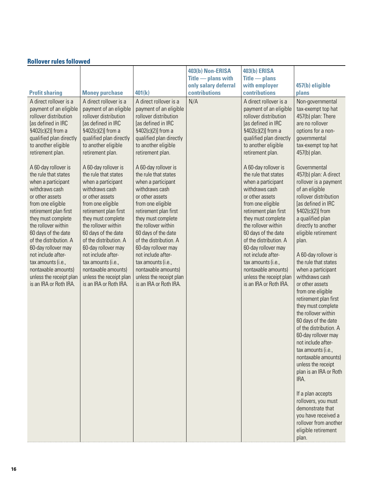|                                                                                                                                                                                                                                                                                                                                                                                                                                                                                                                                                                                                                                                                                                                                                                                                                                                                                                                                                                                                                                                                                                                                                                                                        |                                                                                                                                                                                                                                                                                                                                                                                                                                                                                                                                                                                                   | 403(b) Non-ERISA                                       | <b>403(b) ERISA</b>                                                                                                                                                                                                                                                                                                                                                                                                                                                                                                                                                                               |                                                                                                                                                                                                                                                                                                                                                                                                                                                                                                                                                                                                                                                                                                                                                                                                                                                                                                                                                        |
|--------------------------------------------------------------------------------------------------------------------------------------------------------------------------------------------------------------------------------------------------------------------------------------------------------------------------------------------------------------------------------------------------------------------------------------------------------------------------------------------------------------------------------------------------------------------------------------------------------------------------------------------------------------------------------------------------------------------------------------------------------------------------------------------------------------------------------------------------------------------------------------------------------------------------------------------------------------------------------------------------------------------------------------------------------------------------------------------------------------------------------------------------------------------------------------------------------|---------------------------------------------------------------------------------------------------------------------------------------------------------------------------------------------------------------------------------------------------------------------------------------------------------------------------------------------------------------------------------------------------------------------------------------------------------------------------------------------------------------------------------------------------------------------------------------------------|--------------------------------------------------------|---------------------------------------------------------------------------------------------------------------------------------------------------------------------------------------------------------------------------------------------------------------------------------------------------------------------------------------------------------------------------------------------------------------------------------------------------------------------------------------------------------------------------------------------------------------------------------------------------|--------------------------------------------------------------------------------------------------------------------------------------------------------------------------------------------------------------------------------------------------------------------------------------------------------------------------------------------------------------------------------------------------------------------------------------------------------------------------------------------------------------------------------------------------------------------------------------------------------------------------------------------------------------------------------------------------------------------------------------------------------------------------------------------------------------------------------------------------------------------------------------------------------------------------------------------------------|
|                                                                                                                                                                                                                                                                                                                                                                                                                                                                                                                                                                                                                                                                                                                                                                                                                                                                                                                                                                                                                                                                                                                                                                                                        |                                                                                                                                                                                                                                                                                                                                                                                                                                                                                                                                                                                                   | $\overline{\text{Title}}$ $\longrightarrow$ plans with | $Title$ $-$ plans                                                                                                                                                                                                                                                                                                                                                                                                                                                                                                                                                                                 |                                                                                                                                                                                                                                                                                                                                                                                                                                                                                                                                                                                                                                                                                                                                                                                                                                                                                                                                                        |
|                                                                                                                                                                                                                                                                                                                                                                                                                                                                                                                                                                                                                                                                                                                                                                                                                                                                                                                                                                                                                                                                                                                                                                                                        |                                                                                                                                                                                                                                                                                                                                                                                                                                                                                                                                                                                                   | only salary deferral                                   | with employer                                                                                                                                                                                                                                                                                                                                                                                                                                                                                                                                                                                     | 457(b) eligible                                                                                                                                                                                                                                                                                                                                                                                                                                                                                                                                                                                                                                                                                                                                                                                                                                                                                                                                        |
| <b>Profit sharing</b><br><b>Money purchase</b>                                                                                                                                                                                                                                                                                                                                                                                                                                                                                                                                                                                                                                                                                                                                                                                                                                                                                                                                                                                                                                                                                                                                                         | 401(k)                                                                                                                                                                                                                                                                                                                                                                                                                                                                                                                                                                                            | contributions                                          | contributions                                                                                                                                                                                                                                                                                                                                                                                                                                                                                                                                                                                     | plans                                                                                                                                                                                                                                                                                                                                                                                                                                                                                                                                                                                                                                                                                                                                                                                                                                                                                                                                                  |
| A direct rollover is a<br>A direct rollover is a<br>payment of an eligible<br>payment of an eligible<br>rollover distribution<br>rollover distribution<br>[as defined in IRC<br>[as defined in IRC<br>§402(c)(2)] from a<br>§402(c)(2)] from a<br>qualified plan directly<br>qualified plan directly<br>to another eligible<br>to another eligible<br>retirement plan.<br>retirement plan.<br>A 60-day rollover is<br>A 60-day rollover is<br>the rule that states<br>the rule that states<br>when a participant<br>when a participant<br>withdraws cash<br>withdraws cash<br>or other assets<br>or other assets<br>from one eligible<br>from one eligible<br>retirement plan first<br>retirement plan first<br>they must complete<br>they must complete<br>the rollover within<br>the rollover within<br>60 days of the date<br>60 days of the date<br>of the distribution. A<br>of the distribution. A<br>60-day rollover may<br>60-day rollover may<br>not include after-<br>not include after-<br>tax amounts (i.e.,<br>tax amounts (i.e.,<br>nontaxable amounts)<br>nontaxable amounts)<br>unless the receipt plan<br>unless the receipt plan<br>is an IRA or Roth IRA.<br>is an IRA or Roth IRA. | A direct rollover is a<br>payment of an eligible<br>rollover distribution<br>[as defined in IRC<br>§402(c)(2)] from a<br>qualified plan directly<br>to another eligible<br>retirement plan.<br>A 60-day rollover is<br>the rule that states<br>when a participant<br>withdraws cash<br>or other assets<br>from one eligible<br>retirement plan first<br>they must complete<br>the rollover within<br>60 days of the date<br>of the distribution. A<br>60-day rollover may<br>not include after-<br>tax amounts (i.e.,<br>nontaxable amounts)<br>unless the receipt plan<br>is an IRA or Roth IRA. | N/A                                                    | A direct rollover is a<br>payment of an eligible<br>rollover distribution<br>[as defined in IRC<br>§402(c)(2)] from a<br>qualified plan directly<br>to another eligible<br>retirement plan.<br>A 60-day rollover is<br>the rule that states<br>when a participant<br>withdraws cash<br>or other assets<br>from one eligible<br>retirement plan first<br>they must complete<br>the rollover within<br>60 days of the date<br>of the distribution. A<br>60-day rollover may<br>not include after-<br>tax amounts (i.e.,<br>nontaxable amounts)<br>unless the receipt plan<br>is an IRA or Roth IRA. | Non-governmental<br>tax-exempt top hat<br>457(b) plan: There<br>are no rollover<br>options for a non-<br>governmental<br>tax-exempt top hat<br>457(b) plan.<br>Governmental<br>457(b) plan: A direct<br>rollover is a payment<br>of an eligible<br>rollover distribution<br>[as defined in IRC<br>§402(c)(2)] from<br>a qualified plan<br>directly to another<br>eligible retirement<br>plan.<br>A 60-day rollover is<br>the rule that states<br>when a participant<br>withdraws cash<br>or other assets<br>from one eligible<br>retirement plan first<br>they must complete<br>the rollover within<br>60 days of the date<br>of the distribution. A<br>60-day rollover may<br>not include after-<br>tax amounts (i.e.,<br>nontaxable amounts)<br>unless the receipt<br>plan is an IRA or Roth<br>IRA.<br>If a plan accepts<br>rollovers, you must<br>demonstrate that<br>you have received a<br>rollover from another<br>eligible retirement<br>plan. |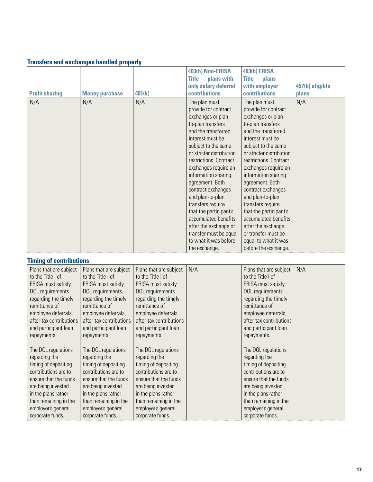| <b>Profit sharing</b> | <b>Money purchase</b> | 401(k) | 403(b) Non-ERISA<br>$\overline{\text{Title}}$ - plans with<br>only salary deferral<br><b>contributions</b>                                                                                                                                                                                                                                                                                                                                                                               | <b>403(b) ERISA</b><br>$\overline{\text{Title}}$ $\overline{\text{This}}$<br>with employer<br>contributions                                                                                                                                                                                                                                                                                                                                                                              | 457(b) eligible<br>plans |
|-----------------------|-----------------------|--------|------------------------------------------------------------------------------------------------------------------------------------------------------------------------------------------------------------------------------------------------------------------------------------------------------------------------------------------------------------------------------------------------------------------------------------------------------------------------------------------|------------------------------------------------------------------------------------------------------------------------------------------------------------------------------------------------------------------------------------------------------------------------------------------------------------------------------------------------------------------------------------------------------------------------------------------------------------------------------------------|--------------------------|
| N/A                   | N/A                   | N/A    | The plan must<br>provide for contract<br>exchanges or plan-<br>to-plan transfers<br>and the transferred<br>interest must be<br>subject to the same<br>or stricter distribution<br>restrictions. Contract<br>exchanges require an<br>information sharing<br>agreement. Both<br>contract exchanges<br>and plan-to-plan<br>transfers require<br>that the participant's<br>accumulated benefits<br>after the exchange or<br>transfer must be equal<br>to what it was before<br>the exchange. | The plan must<br>provide for contract<br>exchanges or plan-<br>to-plan transfers<br>and the transferred<br>interest must be<br>subject to the same<br>or stricter distribution<br>restrictions. Contract<br>exchanges require an<br>information sharing<br>agreement. Both<br>contract exchanges<br>and plan-to-plan<br>transfers require<br>that the participant's<br>accumulated benefits<br>after the exchange<br>or transfer must be<br>equal to what it was<br>before the exchange. | N/A                      |

#### **Transfers and exchanges handled properly**

#### **Timing of contributions**

| Plans that are subject<br>to the Title I of<br><b>ERISA</b> must satisfy<br>DOL requirements<br>regarding the timely<br>remittance of<br>employee deferrals,<br>after-tax contributions<br>and participant loan<br>repayments. | Plans that are subject<br>to the Title I of<br>ERISA must satisfy<br>DOL requirements<br>regarding the timely<br>remittance of<br>employee deferrals,<br>after-tax contributions<br>and participant loan<br>repayments.       | Plans that are subject<br>to the Title I of<br><b>ERISA must satisfy</b><br>DOL requirements<br>regarding the timely<br>remittance of<br>employee deferrals,<br>after-tax contributions<br>and participant loan<br>repayments. | N/A | Plans that are subject<br>to the Title I of<br>ERISA must satisfy<br>DOL requirements<br>regarding the timely<br>remittance of<br>employee deferrals,<br>after-tax contributions<br>and participant loan<br>repayments.       | N/A |
|--------------------------------------------------------------------------------------------------------------------------------------------------------------------------------------------------------------------------------|-------------------------------------------------------------------------------------------------------------------------------------------------------------------------------------------------------------------------------|--------------------------------------------------------------------------------------------------------------------------------------------------------------------------------------------------------------------------------|-----|-------------------------------------------------------------------------------------------------------------------------------------------------------------------------------------------------------------------------------|-----|
| The DOL regulations<br>regarding the<br>timing of depositing<br>contributions are to<br>ensure that the funds<br>are being invested<br>in the plans rather<br>than remaining in the<br>employer's general<br>corporate funds.  | The DOL regulations<br>regarding the<br>timing of depositing<br>contributions are to<br>ensure that the funds<br>are being invested<br>in the plans rather<br>than remaining in the<br>employer's general<br>corporate funds. | The DOL regulations<br>regarding the<br>timing of depositing<br>contributions are to<br>ensure that the funds<br>are being invested<br>in the plans rather<br>than remaining in the<br>employer's general<br>corporate funds.  |     | The DOL regulations<br>regarding the<br>timing of depositing<br>contributions are to<br>ensure that the funds<br>are being invested<br>in the plans rather<br>than remaining in the<br>employer's general<br>corporate funds. |     |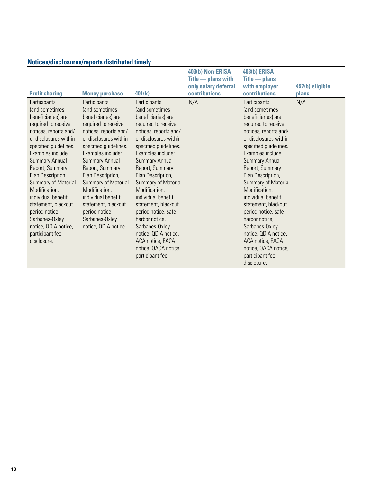## **Notices/disclosures/reports distributed timely**

| <b>Profit sharing</b>                                                                                                                                                                                                                                                                                                                                                                                                           | <b>Money purchase</b>                                                                                                                                                                                                                                                                                                                                                                         | 401(k)                                                                                                                                                                                                                                                                                                                                                                                                                                                                                      | 403(b) Non-ERISA<br>$\overline{\text{Title}}$ - plans with<br>only salary deferral<br><b>contributions</b> | <b>403(b) ERISA</b><br>$\overline{\text{Title}}$ $\overline{\text{This}}$<br>with employer<br><b>contributions</b>                                                                                                                                                                                                                                                                                                                                                                                 | 457(b) eligible<br>plans |
|---------------------------------------------------------------------------------------------------------------------------------------------------------------------------------------------------------------------------------------------------------------------------------------------------------------------------------------------------------------------------------------------------------------------------------|-----------------------------------------------------------------------------------------------------------------------------------------------------------------------------------------------------------------------------------------------------------------------------------------------------------------------------------------------------------------------------------------------|---------------------------------------------------------------------------------------------------------------------------------------------------------------------------------------------------------------------------------------------------------------------------------------------------------------------------------------------------------------------------------------------------------------------------------------------------------------------------------------------|------------------------------------------------------------------------------------------------------------|----------------------------------------------------------------------------------------------------------------------------------------------------------------------------------------------------------------------------------------------------------------------------------------------------------------------------------------------------------------------------------------------------------------------------------------------------------------------------------------------------|--------------------------|
| Participants<br>(and sometimes<br>beneficiaries) are<br>required to receive<br>notices, reports and/<br>or disclosures within<br>specified guidelines.<br>Examples include:<br><b>Summary Annual</b><br>Report, Summary<br>Plan Description,<br>Summary of Material<br>Modification,<br>individual benefit<br>statement, blackout<br>period notice,<br>Sarbanes-Oxley<br>notice, QDIA notice,<br>participant fee<br>disclosure. | Participants<br>(and sometimes<br>beneficiaries) are<br>required to receive<br>notices, reports and/<br>or disclosures within<br>specified guidelines.<br>Examples include:<br><b>Summary Annual</b><br>Report, Summary<br>Plan Description,<br>Summary of Material<br>Modification,<br>individual benefit<br>statement, blackout<br>period notice,<br>Sarbanes-Oxley<br>notice, QDIA notice. | <b>Participants</b><br>(and sometimes<br>beneficiaries) are<br>required to receive<br>notices, reports and/<br>or disclosures within<br>specified guidelines.<br>Examples include:<br><b>Summary Annual</b><br>Report, Summary<br>Plan Description,<br>Summary of Material<br>Modification,<br>individual benefit<br>statement, blackout<br>period notice, safe<br>harbor notice,<br>Sarbanes-Oxley<br>notice, QDIA notice,<br>ACA notice, EACA<br>notice, QACA notice,<br>participant fee. | N/A                                                                                                        | Participants<br>(and sometimes<br>beneficiaries) are<br>required to receive<br>notices, reports and/<br>or disclosures within<br>specified guidelines.<br>Examples include:<br><b>Summary Annual</b><br>Report, Summary<br>Plan Description,<br>Summary of Material<br>Modification,<br>individual benefit<br>statement, blackout<br>period notice, safe<br>harbor notice,<br>Sarbanes-Oxley<br>notice, QDIA notice,<br>ACA notice, EACA<br>notice, QACA notice,<br>participant fee<br>disclosure. | N/A                      |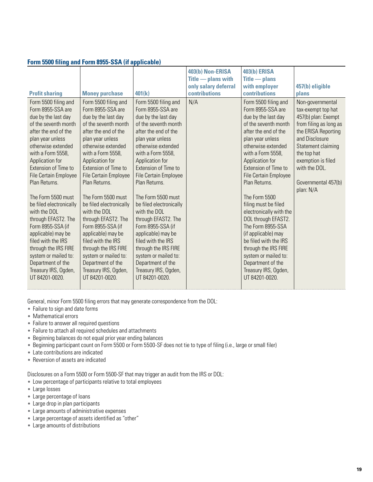#### **Form 5500 filing and Form 8955-SSA (if applicable)**

|                                                                                                                                                                                                                                                                                                                                                                                                                                                                                                                                              |                                                                                                                                                                                                                                                                                                                                                                                                                                                                                                                                                            |                                                                                                                                                                                                                                                                                                                                                                                                                                                                                                                                                     | 403(b) Non-ERISA<br>$\overline{\text{Title}}$ - plans with | <b>403(b) ERISA</b><br>$\overline{\text{Title}}$ $\overline{\text{This}}$                                                                                                                                                                                                                                                                                                                                                                                                                                                                           |                                                                                                                                                                                                                                                  |
|----------------------------------------------------------------------------------------------------------------------------------------------------------------------------------------------------------------------------------------------------------------------------------------------------------------------------------------------------------------------------------------------------------------------------------------------------------------------------------------------------------------------------------------------|------------------------------------------------------------------------------------------------------------------------------------------------------------------------------------------------------------------------------------------------------------------------------------------------------------------------------------------------------------------------------------------------------------------------------------------------------------------------------------------------------------------------------------------------------------|-----------------------------------------------------------------------------------------------------------------------------------------------------------------------------------------------------------------------------------------------------------------------------------------------------------------------------------------------------------------------------------------------------------------------------------------------------------------------------------------------------------------------------------------------------|------------------------------------------------------------|-----------------------------------------------------------------------------------------------------------------------------------------------------------------------------------------------------------------------------------------------------------------------------------------------------------------------------------------------------------------------------------------------------------------------------------------------------------------------------------------------------------------------------------------------------|--------------------------------------------------------------------------------------------------------------------------------------------------------------------------------------------------------------------------------------------------|
|                                                                                                                                                                                                                                                                                                                                                                                                                                                                                                                                              |                                                                                                                                                                                                                                                                                                                                                                                                                                                                                                                                                            |                                                                                                                                                                                                                                                                                                                                                                                                                                                                                                                                                     | only salary deferral                                       | with employer                                                                                                                                                                                                                                                                                                                                                                                                                                                                                                                                       | 457(b) eligible                                                                                                                                                                                                                                  |
| <b>Profit sharing</b>                                                                                                                                                                                                                                                                                                                                                                                                                                                                                                                        | <b>Money purchase</b>                                                                                                                                                                                                                                                                                                                                                                                                                                                                                                                                      | 401(k)                                                                                                                                                                                                                                                                                                                                                                                                                                                                                                                                              | <b>contributions</b>                                       | <b>contributions</b>                                                                                                                                                                                                                                                                                                                                                                                                                                                                                                                                | plans                                                                                                                                                                                                                                            |
| Form 5500 filing and<br>Form 8955-SSA are<br>due by the last day<br>of the seventh month<br>after the end of the<br>plan year unless<br>otherwise extended<br>with a Form 5558,<br>Application for<br>Extension of Time to<br>File Certain Employee<br>Plan Returns.<br>The Form 5500 must<br>be filed electronically<br>with the DOL<br>through EFAST2. The<br>Form 8955-SSA (if<br>applicable) may be<br>filed with the IRS<br>through the IRS FIRE<br>system or mailed to:<br>Department of the<br>Treasury IRS, Ogden,<br>UT 84201-0020. | Form 5500 filing and<br>Form 8955-SSA are<br>due by the last day<br>of the seventh month<br>after the end of the<br>plan year unless<br>otherwise extended<br>with a Form 5558,<br>Application for<br><b>Extension of Time to</b><br><b>File Certain Employee</b><br>Plan Returns.<br>The Form 5500 must<br>be filed electronically<br>with the DOL<br>through EFAST2. The<br>Form 8955-SSA (if<br>applicable) may be<br>filed with the IRS<br>through the IRS FIRE<br>system or mailed to:<br>Department of the<br>Treasury IRS, Ogden,<br>UT 84201-0020. | Form 5500 filing and<br>Form 8955-SSA are<br>due by the last day<br>of the seventh month<br>after the end of the<br>plan year unless<br>otherwise extended<br>with a Form 5558,<br>Application for<br>Extension of Time to<br><b>File Certain Employee</b><br>Plan Returns.<br>The Form 5500 must<br>be filed electronically<br>with the DOL<br>through EFAST2. The<br>Form 8955-SSA (if<br>applicable) may be<br>filed with the IRS<br>through the IRS FIRE<br>system or mailed to:<br>Department of the<br>Treasury IRS, Ogden,<br>UT 84201-0020. | N/A                                                        | Form 5500 filing and<br>Form 8955-SSA are<br>due by the last day<br>of the seventh month<br>after the end of the<br>plan year unless<br>otherwise extended<br>with a Form 5558,<br>Application for<br>Extension of Time to<br>File Certain Employee<br>Plan Returns.<br>The Form 5500<br>filing must be filed<br>electronically with the<br>DOL through EFAST2.<br>The Form 8955-SSA<br>(if applicable) may<br>be filed with the IRS<br>through the IRS FIRE<br>system or mailed to:<br>Department of the<br>Treasury IRS, Ogden,<br>UT 84201-0020. | Non-governmental<br>tax-exempt top hat<br>457(b) plan: Exempt<br>from filing as long as<br>the ERISA Reporting<br>and Disclosure<br>Statement claiming<br>the top hat<br>exemption is filed<br>with the DOL.<br>Governmental 457(b)<br>plan: N/A |

General, minor Form 5500 filing errors that may generate correspondence from the DOL:

- Failure to sign and date forms
- Mathematical errors
- Failure to answer all required questions
- Failure to attach all required schedules and attachments
- Beginning balances do not equal prior year ending balances
- Beginning participant count on Form 5500 or Form 5500-SF does not tie to type of filing (i.e., large or small filer)
- Late contributions are indicated
- Reversion of assets are indicated

Disclosures on a Form 5500 or Form 5500-SF that may trigger an audit from the IRS or DOL:

- Low percentage of participants relative to total employees
- Large losses
- Large percentage of loans
- Large drop in plan participants
- Large amounts of administrative expenses
- Large percentage of assets identified as "other"
- Large amounts of distributions